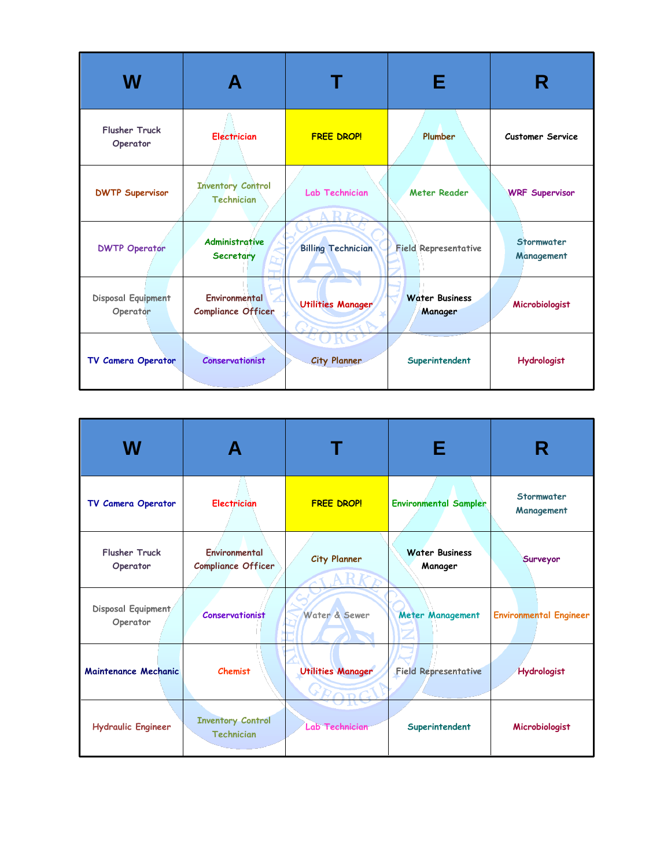| W                                |                                               |                           | Е                                | R                        |
|----------------------------------|-----------------------------------------------|---------------------------|----------------------------------|--------------------------|
| <b>Flusher Truck</b><br>Operator | <b>Electrician</b>                            | <b>FREE DROP!</b>         | Plumber                          | <b>Customer Service</b>  |
| <b>DWTP Supervisor</b>           | <b>Inventory Control</b><br><b>Technician</b> | Lab Technician<br>P       | <b>Meter Reader</b>              | <b>WRF Supervisor</b>    |
| <b>DWTP Operator</b>             | <b>Administrative</b><br>Secretary            | <b>Billing Technician</b> | <b>Field Representative</b>      | Stormwater<br>Management |
| Disposal Equipment<br>Operator   | Environmental<br><b>Compliance Officer</b>    | <b>Utilities Manager</b>  | <b>Water Business</b><br>Manager | Microbiologist           |
| TV Camera Operator               | <b>Conservationist</b>                        | <b>City Planner</b>       | Superintendent                   | <b>Hydrologist</b>       |

| W                                |                                               |                                   | Е                                | R                             |
|----------------------------------|-----------------------------------------------|-----------------------------------|----------------------------------|-------------------------------|
| TV Camera Operator               | <b>Electrician</b>                            | <b>FREE DROP!</b>                 | <b>Environmental Sampler</b>     | Stormwater<br>Management      |
| <b>Flusher Truck</b><br>Operator | Environmental<br><b>Compliance Officer</b>    | City Planner<br>ARK               | <b>Water Business</b><br>Manager | Surveyor                      |
| Disposal Equipment<br>Operator   | <b>Conservationist</b>                        | Water & Sewer                     | <b>Meter Management</b>          | <b>Environmental Engineer</b> |
| Maintenance Mechanic             | <b>Chemist</b>                                | <b>Utilities Manager</b><br>GRORG | <b>Field Representative</b>      | <b>Hydrologist</b>            |
| <b>Hydraulic Engineer</b>        | <b>Inventory Control</b><br><b>Technician</b> | Lab Technician                    | Superintendent                   | Microbiologist                |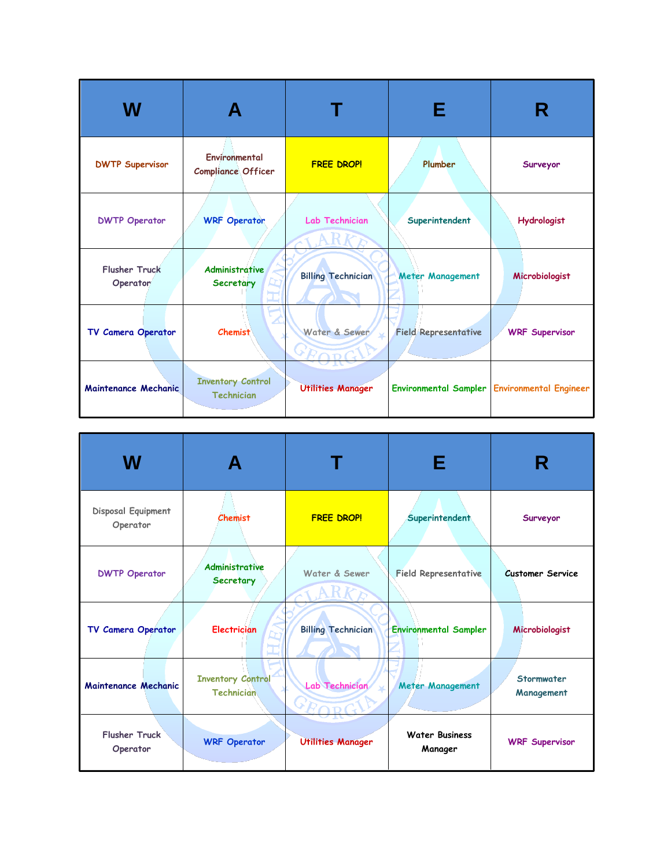| W                                |                                               |                             | Е                           |                                                |
|----------------------------------|-----------------------------------------------|-----------------------------|-----------------------------|------------------------------------------------|
| <b>DWTP Supervisor</b>           | Environmental<br><b>Compliance Officer</b>    | <b>FREE DROP!</b>           | Plumber                     | Surveyor                                       |
| <b>DWTP Operator</b>             | <b>WRF Operator</b>                           | Lab Technician              | Superintendent              | <b>Hydrologist</b>                             |
| <b>Flusher Truck</b><br>Operator | <b>Administrative</b><br>Secretary            | <b>Billing Technician</b>   | Meter Management            | Microbiologist                                 |
| TV Camera Operator               | <b>Chemist</b>                                | Water & Sewer<br>$\times F$ | <b>Field Representative</b> | <b>WRF Supervisor</b>                          |
| <b>Maintenance Mechanic</b>      | <b>Inventory Control</b><br><b>Technician</b> | <b>Utilities Manager</b>    |                             | Environmental Sampler   Environmental Engineer |

| W                                |                                               |                           | Е                                | R                        |
|----------------------------------|-----------------------------------------------|---------------------------|----------------------------------|--------------------------|
| Disposal Equipment<br>Operator   | <b>Chemist</b>                                | <b>FREE DROP!</b>         | Superintendent                   | Surveyor                 |
| <b>DWTP Operator</b>             | <b>Administrative</b><br>Secretary            | Water & Sewer             | <b>Field Representative</b>      | <b>Customer Service</b>  |
| TV Camera Operator               | <b>Electrician</b>                            | <b>Billing Technician</b> | <b>Environmental Sampler</b>     | Microbiologist           |
| Maintenance Mechanic             | <b>Inventory Control</b><br><b>Technician</b> | Lab Technician            | <b>Meter Management</b>          | Stormwater<br>Management |
| <b>Flusher Truck</b><br>Operator | <b>WRF Operator</b>                           | <b>Utilities Manager</b>  | <b>Water Business</b><br>Manager | <b>WRF Supervisor</b>    |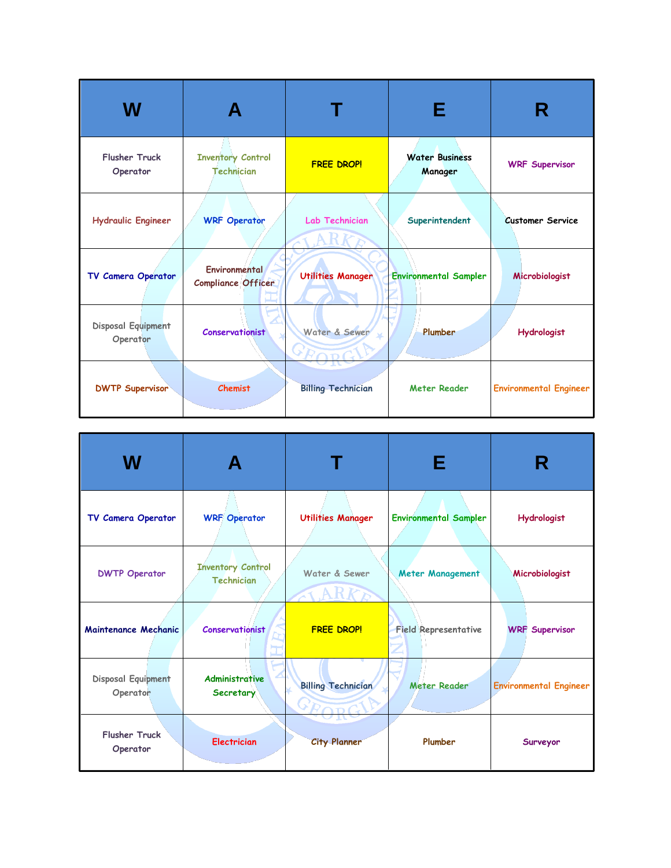| W                                |                                                   |                           | Е                                |                               |
|----------------------------------|---------------------------------------------------|---------------------------|----------------------------------|-------------------------------|
| <b>Flusher Truck</b><br>Operator | <b>Inventory Control</b><br><b>Technician</b>     | <b>FREE DROP!</b>         | <b>Water Business</b><br>Manager | <b>WRF Supervisor</b>         |
| <b>Hydraulic Engineer</b>        | <b>WRF Operator</b>                               | Lab Technician            | Superintendent                   | <b>Customer Service</b>       |
| TV Camera Operator               | <b>Environmental</b><br><b>Compliance Officer</b> | <b>Utilities Manager</b>  | <b>Environmental Sampler</b>     | Microbiologist                |
| Disposal Equipment<br>Operator   | <b>Conservationist</b>                            | Water & Sewer             | Plumber                          | Hydrologist                   |
| <b>DWTP Supervisor</b>           | <b>Chemist</b>                                    | <b>Billing Technician</b> | <b>Meter Reader</b>              | <b>Environmental Engineer</b> |

| W                                     |                                               |                           | Е                            | R                             |
|---------------------------------------|-----------------------------------------------|---------------------------|------------------------------|-------------------------------|
| TV Camera Operator                    | <b>WRF Operator</b>                           | <b>Utilities Manager</b>  | <b>Environmental Sampler</b> | <b>Hydrologist</b>            |
| <b>DWTP Operator</b>                  | <b>Inventory Control</b><br><b>Technician</b> | Water & Sewer<br>ARK      | Meter Management             | Microbiologist                |
| Maintenance Mechanic                  | <b>Conservationist</b>                        | <b>FREE DROP!</b>         | <b>Field Representative</b>  | <b>WRF Supervisor</b>         |
| <b>Disposal Equipment</b><br>Operator | Administrative<br>Secretary                   | <b>Billing Technician</b> | <b>Meter Reader</b>          | <b>Environmental Engineer</b> |
| <b>Flusher Truck</b><br>Operator      | <b>Electrician</b>                            | <b>City Planner</b>       | Plumber                      | Surveyor                      |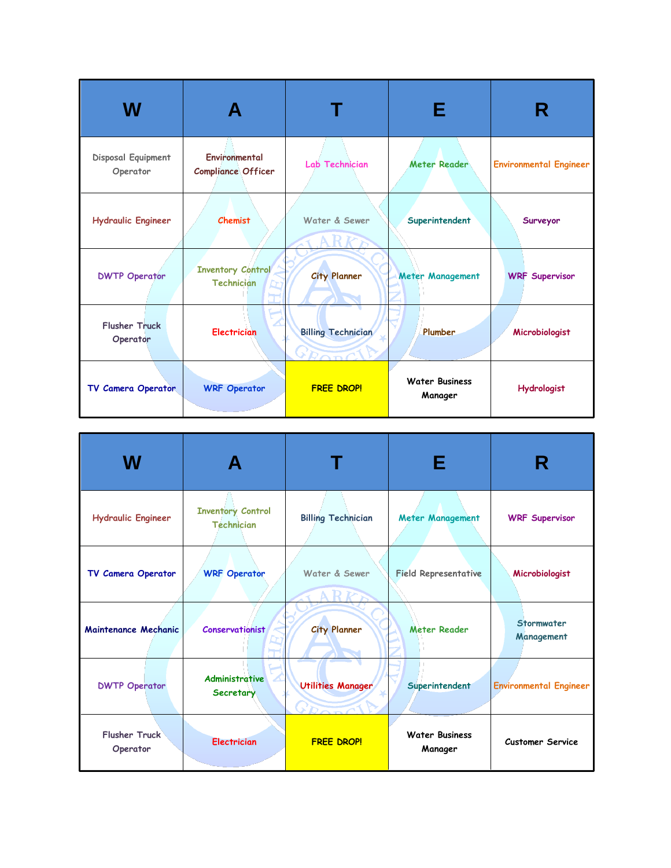| W                                | А                                             |                                    | Е                                | R                             |
|----------------------------------|-----------------------------------------------|------------------------------------|----------------------------------|-------------------------------|
| Disposal Equipment<br>Operator   | Environmental<br><b>Compliance Officer</b>    | <b>Lab Technician</b>              | <b>Meter Reader</b>              | <b>Environmental Engineer</b> |
| <b>Hydraulic Engineer</b>        | <b>Chemist</b>                                | Water & Sewer                      | Superintendent                   | Surveyor                      |
| <b>DWTP Operator</b>             | <b>Inventory Control</b><br><b>Technician</b> | <b>City Planner</b>                | Meter Management                 | <b>WRF Supervisor</b>         |
| <b>Flusher Truck</b><br>Operator | <b>Electrician</b>                            | <b>Billing Technician</b><br>YDODO | Plumber                          | Microbiologist                |
| TV Camera Operator               | <b>WRF Operator</b>                           | <b>FREE DROP!</b>                  | <b>Water Business</b><br>Manager | Hydrologist                   |

| W                                |                                               |                           | Е                                | R                             |
|----------------------------------|-----------------------------------------------|---------------------------|----------------------------------|-------------------------------|
| <b>Hydraulic Engineer</b>        | <b>Inventory Control</b><br><b>Technician</b> | <b>Billing Technician</b> | <b>Meter Management</b>          | <b>WRF Supervisor</b>         |
| TV Camera Operator               | <b>WRF</b> Operator                           | Water & Sewer             | <b>Field Representative</b>      | Microbiologist                |
| Maintenance Mechanic             | <b>Conservationist</b>                        | <b>City Planner</b>       | <b>Meter Reader</b>              | Stormwater<br>Management      |
| <b>DWTP Operator</b>             | <b>Administrative</b><br>Secretary            | <b>Utilities Manager</b>  | Superintendent                   | <b>Environmental Engineer</b> |
| <b>Flusher Truck</b><br>Operator | <b>Electrician</b>                            | <b>FREE DROP!</b>         | <b>Water Business</b><br>Manager | <b>Customer Service</b>       |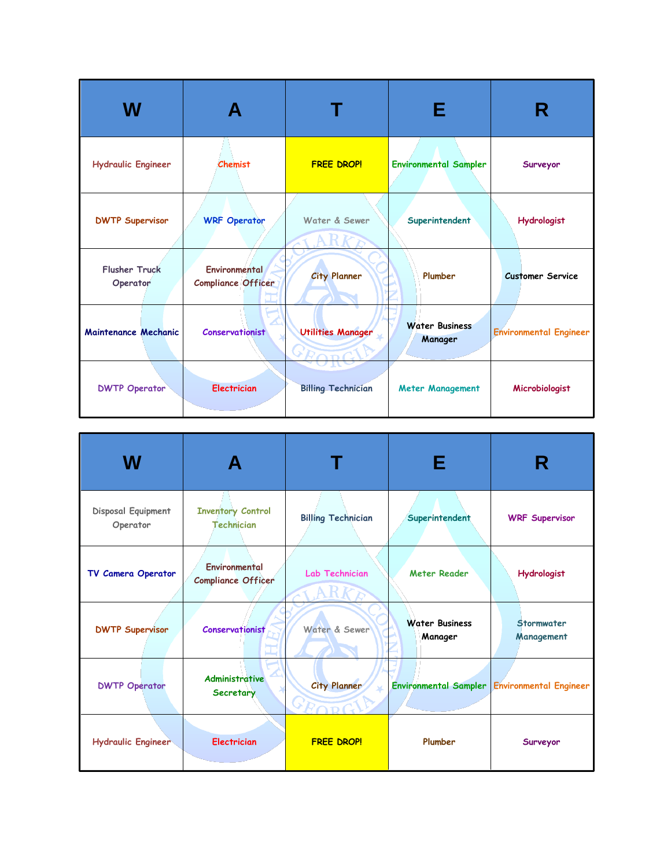| W                                |                                     |                           | Е                                |                               |
|----------------------------------|-------------------------------------|---------------------------|----------------------------------|-------------------------------|
| <b>Hydraulic Engineer</b>        | Chemist                             | <b>FREE DROP!</b>         | <b>Environmental Sampler</b>     | Surveyor                      |
| <b>DWTP Supervisor</b>           | <b>WRF Operator</b>                 | Water & Sewer             | Superintendent                   | Hydrologist                   |
| <b>Flusher Truck</b><br>Operator | Environmental<br>Compliance Officer | <b>City Planner</b>       | Plumber                          | <b>Customer Service</b>       |
| <b>Maintenance Mechanic</b>      | Conservationist                     | <b>Utilities Manager</b>  | <b>Water Business</b><br>Manager | <b>Environmental Engineer</b> |
| <b>DWTP Operator</b>             | <b>Electrician</b>                  | <b>Billing Technician</b> | <b>Meter Management</b>          | Microbiologist                |

| W                              |                                               |                           | Е                                | R                                            |
|--------------------------------|-----------------------------------------------|---------------------------|----------------------------------|----------------------------------------------|
| Disposal Equipment<br>Operator | <b>Inventory Control</b><br><b>Technician</b> | <b>Billing Technician</b> | Superintendent                   | <b>WRF Supervisor</b>                        |
| TV Camera Operator             | Environmental<br><b>Compliance Officer</b>    | <b>Lab Technician</b>     | <b>Meter Reader</b>              | <b>Hydrologist</b>                           |
| <b>DWTP Supervisor</b>         | Conservationist                               | Water & Sewer             | <b>Water Business</b><br>Manager | Stormwater<br>Management                     |
| <b>DWTP Operator</b>           | Administrative<br>Secretary                   | <b>City Planner</b>       |                                  | Environmental Sampler Environmental Engineer |
| <b>Hydraulic Engineer</b>      | <b>Electrician</b>                            | <b>FREE DROP!</b>         | Plumber                          | Surveyor                                     |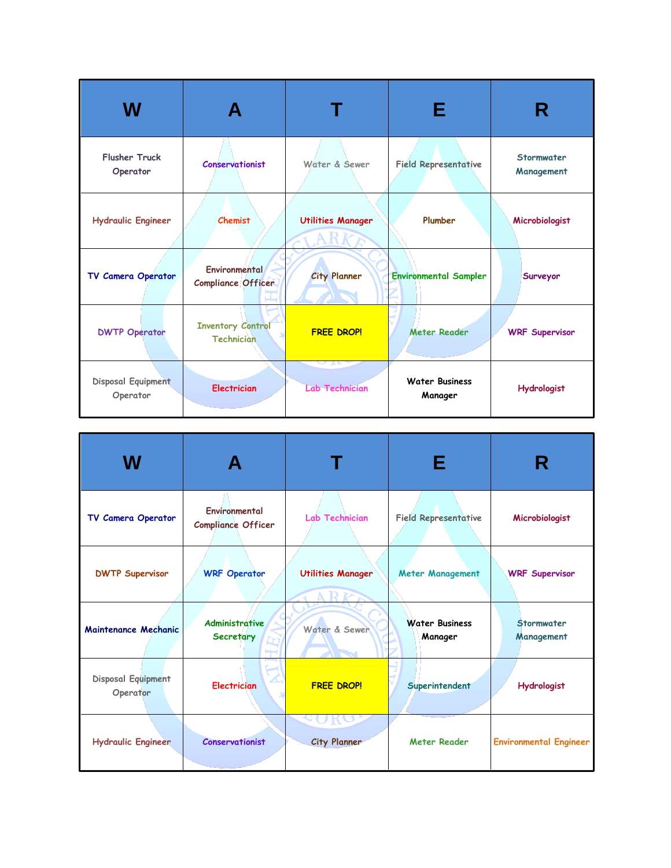| W                                | А                                             |                                    | Е                                | R                        |
|----------------------------------|-----------------------------------------------|------------------------------------|----------------------------------|--------------------------|
| <b>Flusher Truck</b><br>Operator | <b>Conservationist</b>                        | Water & Sewer                      | <b>Field Representative</b>      | Stormwater<br>Management |
| <b>Hydraulic Engineer</b>        | <b>Chemist</b>                                | <b>Utilities Manager</b>           | Plumber                          | Microbiologist           |
| TV Camera Operator               | Environmental<br><b>Compliance Officer</b>    | <b>City Planner</b>                | <b>Environmental Sampler</b>     | Surveyor                 |
| <b>DWTP Operator</b>             | <b>Inventory Control</b><br><b>Technician</b> | <b>FREE DROP!</b>                  | <b>Meter Reader</b>              | <b>WRF Supervisor</b>    |
| Disposal Equipment<br>Operator   | <b>Electrician</b>                            | $\sim$ Tr<br><b>Lab Technician</b> | <b>Water Business</b><br>Manager | Hydrologist              |

| W                              |                                            |                                             | Е                                | R                             |
|--------------------------------|--------------------------------------------|---------------------------------------------|----------------------------------|-------------------------------|
| TV Camera Operator             | Environmental<br><b>Compliance Officer</b> | Lab Technician                              | <b>Field Representative</b>      | Microbiologist                |
| <b>DWTP Supervisor</b>         | <b>WRF Operator</b>                        | <b>Utilities Manager</b><br>AR <sub>k</sub> | <b>Meter Management</b>          | <b>WRF Supervisor</b>         |
| Maintenance Mechanic           | <b>Administrative</b><br><b>Secretary</b>  | Water & Sewer                               | <b>Water Business</b><br>Manager | Stormwater<br>Management      |
| Disposal Equipment<br>Operator | <b>Electrician</b>                         | <b>FREE DROP!</b>                           | Superintendent                   | Hydrologist                   |
| <b>Hydraulic Engineer</b>      | Conservationist                            | $K\Omega$<br><b>City Planner</b>            | <b>Meter Reader</b>              | <b>Environmental Engineer</b> |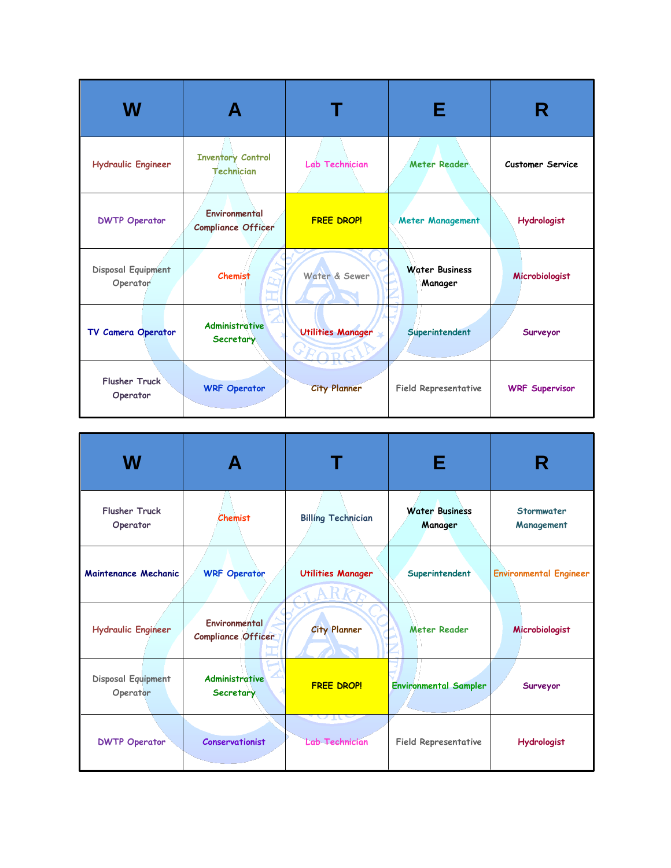| W                                     |                                               |                          | Е                                | R                       |
|---------------------------------------|-----------------------------------------------|--------------------------|----------------------------------|-------------------------|
| <b>Hydraulic Engineer</b>             | <b>Inventory Control</b><br><b>Technician</b> | Lab Technician           | <b>Meter Reader</b>              | <b>Customer Service</b> |
| <b>DWTP Operator</b>                  | Environmental<br><b>Compliance Officer</b>    | <b>FREE DROP!</b>        | Meter Management                 | <b>Hydrologist</b>      |
| <b>Disposal Equipment</b><br>Operator | <b>Chemist</b><br>ÈΣ,                         | Water & Sewer            | <b>Water Business</b><br>Manager | Microbiologist          |
| TV Camera Operator                    | <b>Administrative</b><br>Secretary            | <b>Utilities Manager</b> | Superintendent                   | Surveyor                |
| <b>Flusher Truck</b><br>Operator      | <b>WRF</b> Operator                           | <b>City Planner</b>      | <b>Field Representative</b>      | <b>WRF Supervisor</b>   |

| W                                |                                            |                                           | Е                                | R                             |
|----------------------------------|--------------------------------------------|-------------------------------------------|----------------------------------|-------------------------------|
| <b>Flusher Truck</b><br>Operator | <b>Chemist</b>                             | <b>Billing Technician</b>                 | <b>Water Business</b><br>Manager | Stormwater<br>Management      |
| Maintenance Mechanic             | <b>WRF Operator</b>                        | <b>Utilities Manager</b>                  | Superintendent                   | <b>Environmental Engineer</b> |
| <b>Hydraulic Engineer</b>        | <b>Environmental</b><br>Compliance Officer | <b>City Planner</b>                       | <b>Meter Reader</b>              | Microbiologist                |
| Disposal Equipment<br>Operator   | <b>Administrative</b><br>Secretary         | <b>FREE DROP!</b>                         | <b>Environmental Sampler</b>     | Surveyor                      |
| <b>DWTP Operator</b>             | <b>Conservationist</b>                     | $\Delta H\Delta$<br><b>Lab Technician</b> | <b>Field Representative</b>      | <b>Hydrologist</b>            |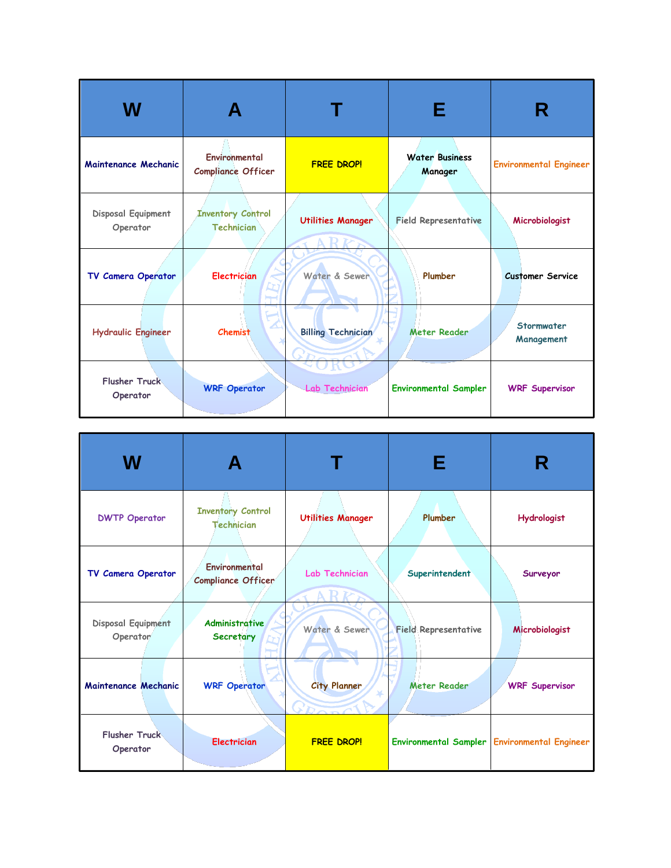| W                                |                                               |                                 | Е                                |                               |
|----------------------------------|-----------------------------------------------|---------------------------------|----------------------------------|-------------------------------|
| Maintenance Mechanic             | Environmental<br><b>Compliance Officer</b>    | <b>FREE DROP!</b>               | <b>Water Business</b><br>Manager | <b>Environmental Engineer</b> |
| Disposal Equipment<br>Operator   | <b>Inventory Control</b><br><b>Technician</b> | <b>Utilities Manager</b><br>ARI | <b>Field Representative</b>      | Microbiologist                |
| TV Camera Operator               | <b>Electrician</b>                            | Water & Sewer                   | Plumber                          | <b>Customer Service</b>       |
| <b>Hydraulic Engineer</b>        | Chemist                                       | <b>Billing Technician</b>       | <b>Meter Reader</b>              | Stormwater<br>Management      |
| <b>Flusher Truck</b><br>Operator | <b>WRF Operator</b>                           | <b>Lab Technician</b>           | <b>Environmental Sampler</b>     | <b>WRF Supervisor</b>         |

| W                                |                                               |                          | Е                           | R                                            |
|----------------------------------|-----------------------------------------------|--------------------------|-----------------------------|----------------------------------------------|
| <b>DWTP Operator</b>             | <b>Inventory Control</b><br><b>Technician</b> | <b>Utilities Manager</b> | Plumber                     | <b>Hydrologist</b>                           |
| TV Camera Operator               | Environmental<br><b>Compliance Officer</b>    | Lab Technician           | Superintendent              | Surveyor                                     |
| Disposal Equipment<br>Operator   | <b>Administrative</b><br>Secretary            | Water & Sewer            | <b>Field Representative</b> | Microbiologist                               |
| Maintenance Mechanic             | <b>WRF Operator</b>                           | <b>City Planner</b>      | <b>Meter Reader</b>         | <b>WRF Supervisor</b>                        |
| <b>Flusher Truck</b><br>Operator | <b>Electrician</b>                            | <b>FREE DROP!</b>        |                             | Environmental Sampler Environmental Engineer |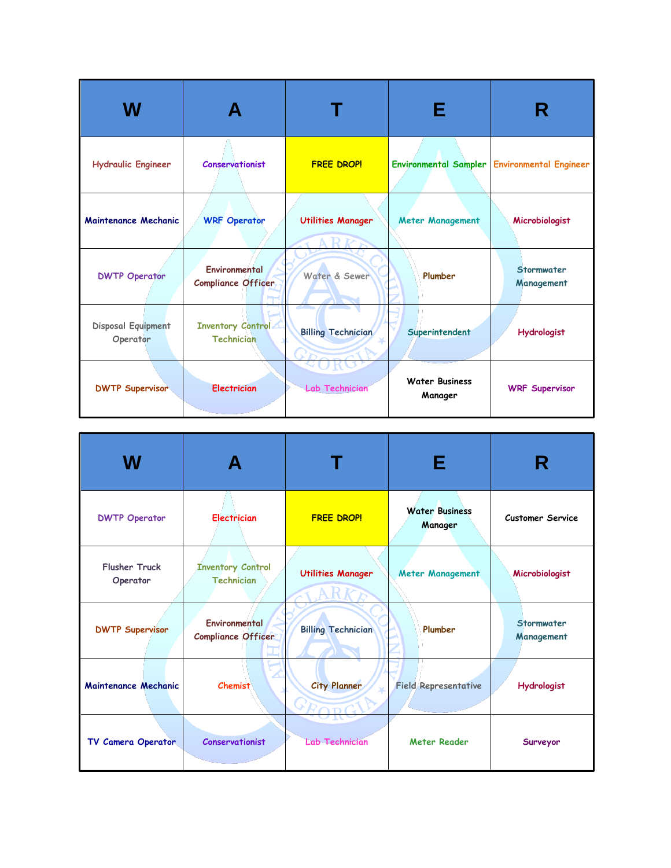| W                              |                                               |                                             | Е                                | R                                            |
|--------------------------------|-----------------------------------------------|---------------------------------------------|----------------------------------|----------------------------------------------|
| <b>Hydraulic Engineer</b>      | <b>Conservationist</b>                        | <b>FREE DROP!</b>                           |                                  | Environmental Sampler Environmental Engineer |
| Maintenance Mechanic           | <b>WRF Operator</b>                           | <b>Utilities Manager</b><br>AR <sub>K</sub> | <b>Meter Management</b>          | Microbiologist                               |
| <b>DWTP Operator</b>           | Environmental<br><b>Compliance Officer</b>    | Water & Sewer                               | Plumber                          | Stormwater<br>Management                     |
| Disposal Equipment<br>Operator | <b>Inventory Control</b><br><b>Technician</b> | <b>Billing Technician</b>                   | Superintendent                   | Hydrologist                                  |
| <b>DWTP Supervisor</b>         | <b>Electrician</b>                            | <b>Lab Technician</b>                       | <b>Water Business</b><br>Manager | <b>WRF Supervisor</b>                        |

| W                                |                                               |                           | Е                                | R                               |
|----------------------------------|-----------------------------------------------|---------------------------|----------------------------------|---------------------------------|
| <b>DWTP Operator</b>             | <b>Electrician</b>                            | <b>FREE DROP!</b>         | <b>Water Business</b><br>Manager | <b>Customer Service</b>         |
| <b>Flusher Truck</b><br>Operator | <b>Inventory Control</b><br><b>Technician</b> | <b>Utilities Manager</b>  | <b>Meter Management</b>          | Microbiologist                  |
| <b>DWTP Supervisor</b>           | Environmental<br><b>Compliance Officer</b>    | <b>Billing Technician</b> | Plumber                          | <b>Stormwater</b><br>Management |
| Maintenance Mechanic             | <b>Chemist</b>                                | <b>City Planner</b>       | <b>Field Representative</b>      | <b>Hydrologist</b>              |
| TV Camera Operator               | <b>Conservationist</b>                        | <b>Lab Technician</b>     | <b>Meter Reader</b>              | Surveyor                        |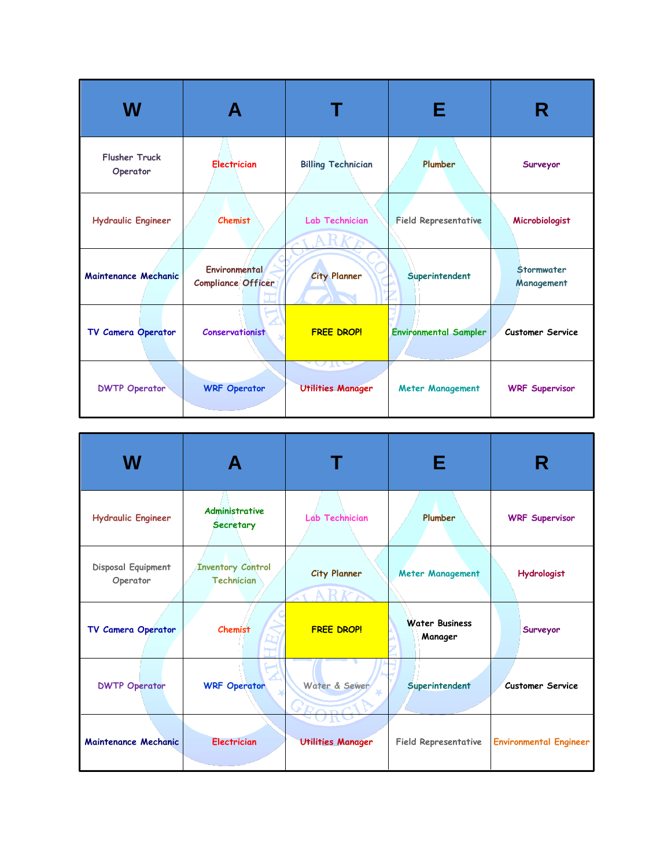| W                                | А                                   |                                                    | Е                            | R                        |
|----------------------------------|-------------------------------------|----------------------------------------------------|------------------------------|--------------------------|
| <b>Flusher Truck</b><br>Operator | <b>Electrician</b>                  | <b>Billing Technician</b>                          | Plumber                      | Surveyor                 |
| <b>Hydraulic Engineer</b>        | <b>Chemist</b>                      | <b>Lab Technician</b>                              | <b>Field Representative</b>  | Microbiologist           |
| Maintenance Mechanic             | Environmental<br>Compliance Officer | <b>City Planner</b>                                | Superintendent               | Stormwater<br>Management |
| TV Camera Operator               | <b>Conservationist</b>              | <b>FREE DROP!</b>                                  | <b>Environmental Sampler</b> | <b>Customer Service</b>  |
| <b>DWTP Operator</b>             | <b>WRF Operator</b>                 | $\mathbf{n}$<br>$\cup$<br><b>Utilities Manager</b> | <b>Meter Management</b>      | <b>WRF Supervisor</b>    |

| W                              |                                               |                            | Е                                | R                             |
|--------------------------------|-----------------------------------------------|----------------------------|----------------------------------|-------------------------------|
| <b>Hydraulic Engineer</b>      | <b>Administrative</b><br>Secretary            | <b>Lab Technician</b>      | Plumber                          | <b>WRF Supervisor</b>         |
| Disposal Equipment<br>Operator | <b>Inventory Control</b><br><b>Technician</b> | <b>City Planner</b><br>ARK | <b>Meter Management</b>          | <b>Hydrologist</b>            |
| TV Camera Operator             | <b>Chemist</b>                                | <b>FREE DROP!</b>          | <b>Water Business</b><br>Manager | Surveyor                      |
| <b>DWTP Operator</b>           | <b>WRF Operator</b>                           | Water & Sewer              | Superintendent                   | <b>Customer Service</b>       |
| Maintenance Mechanic           | <b>Electrician</b>                            | <b>Utilities Manager</b>   | Field Representative             | <b>Environmental Engineer</b> |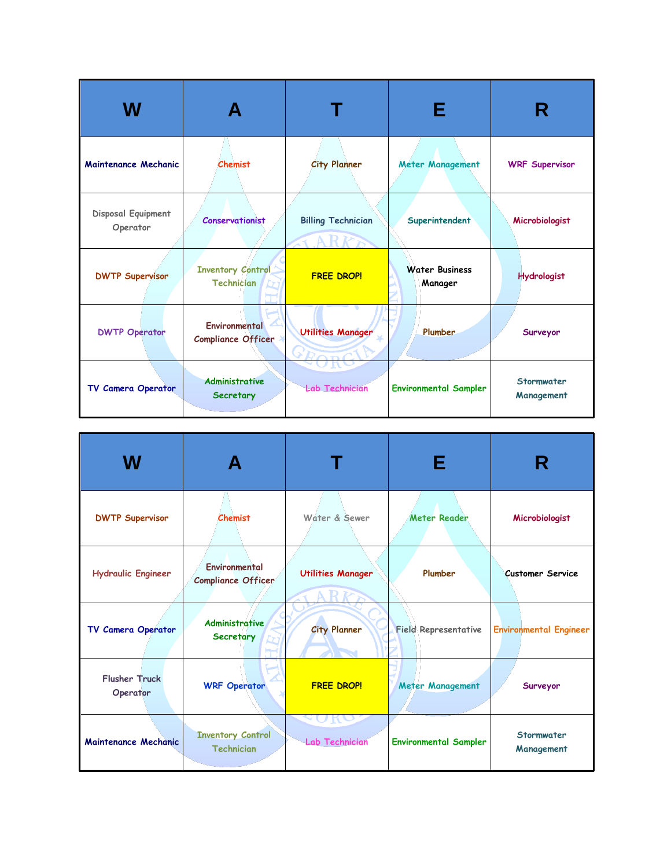| W                              |                                               |                                   | Е                                |                          |
|--------------------------------|-----------------------------------------------|-----------------------------------|----------------------------------|--------------------------|
| Maintenance Mechanic           | <b>Chemist</b>                                | <b>City Planner</b>               | <b>Meter Management</b>          | <b>WRF Supervisor</b>    |
| Disposal Equipment<br>Operator | <b>Conservationist</b>                        | <b>Billing Technician</b><br>XARK | Superintendent                   | Microbiologist           |
| <b>DWTP Supervisor</b>         | <b>Inventory Control</b><br><b>Technician</b> | <b>FREE DROP!</b>                 | <b>Water Business</b><br>Manager | <b>Hydrologist</b>       |
| <b>DWTP Operator</b>           | Environmental<br><b>Compliance Officer</b>    | <b>Utilities Manager</b><br>YRODO | Plumber                          | Surveyor                 |
| TV Camera Operator             | <b>Administrative</b><br>Secretary            | <b>Lab Technician</b>             | <b>Environmental Sampler</b>     | Stormwater<br>Management |

| W                                |                                            |                                   | Е                            | R                             |
|----------------------------------|--------------------------------------------|-----------------------------------|------------------------------|-------------------------------|
| <b>DWTP Supervisor</b>           | <b>Chemist</b>                             | Water & Sewer                     | <b>Meter Reader</b>          | Microbiologist                |
| <b>Hydraulic Engineer</b>        | Environmental<br><b>Compliance Officer</b> | <b>Utilities Manager</b><br>A R F | Plumber                      | <b>Customer Service</b>       |
| TV Camera Operator               | <b>Administrative</b><br><b>Secretary</b>  | <b>City Planner</b>               | <b>Field Representative</b>  | <b>Environmental Engineer</b> |
| <b>Flusher Truck</b><br>Operator | <b>WRF Operator</b>                        | <b>FREE DROP!</b>                 | <b>Meter Management</b>      | Surveyor                      |
| Maintenance Mechanic             | <b>Inventory Control</b><br>Technician     | <b>Lab Technician</b>             | <b>Environmental Sampler</b> | Stormwater<br>Management      |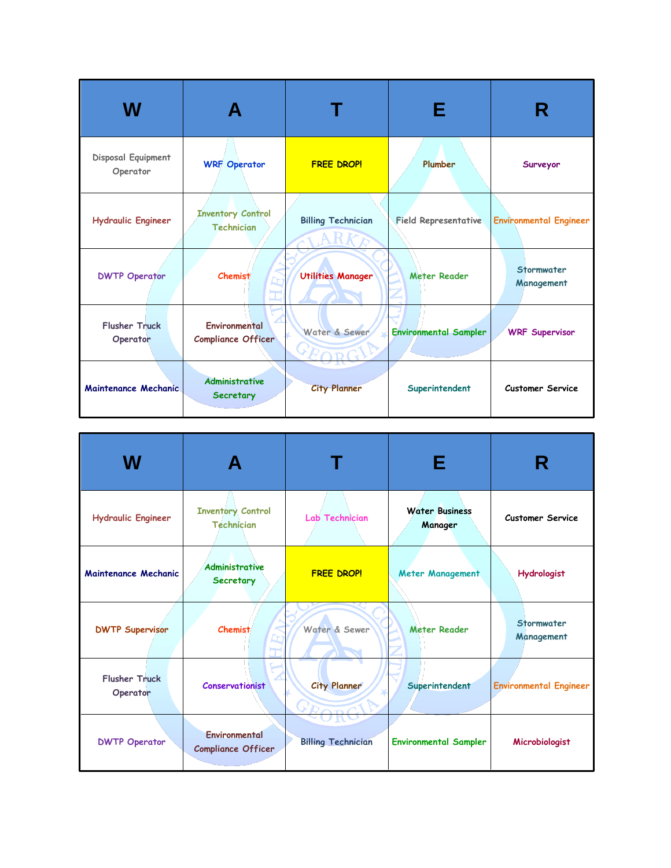| W                                     |                                               |                           | Е                            |                               |
|---------------------------------------|-----------------------------------------------|---------------------------|------------------------------|-------------------------------|
| <b>Disposal Equipment</b><br>Operator | <b>WRF Operator</b>                           | <b>FREE DROP!</b>         | Plumber                      | Surveyor                      |
| <b>Hydraulic Engineer</b>             | <b>Inventory Control</b><br><b>Technician</b> | <b>Billing Technician</b> | <b>Field Representative</b>  | <b>Environmental Engineer</b> |
| <b>DWTP Operator</b>                  | <b>Chemist</b>                                | <b>Utilities Manager</b>  | <b>Meter Reader</b>          | Stormwater<br>Management      |
| <b>Flusher Truck</b><br>Operator      | Environmental<br><b>Compliance Officer</b>    | Water & Sewer             | <b>Environmental Sampler</b> | <b>WRF Supervisor</b>         |
| Maintenance Mechanic                  | <b>Administrative</b><br>Secretary            | <b>City Planner</b>       | Superintendent               | <b>Customer Service</b>       |

| W                                |                                               |                           | Е                                | R                             |
|----------------------------------|-----------------------------------------------|---------------------------|----------------------------------|-------------------------------|
| <b>Hydraulic Engineer</b>        | <b>Inventory Control</b><br><b>Technician</b> | Lab Technician            | <b>Water Business</b><br>Manager | <b>Customer Service</b>       |
| Maintenance Mechanic             | <b>Administrative</b><br>Secretary            | <b>FREE DROP!</b>         | Meter Management                 | <b>Hydrologist</b>            |
| <b>DWTP Supervisor</b>           | <b>Chemist</b>                                | Water & Sewer             | <b>Meter Reader</b>              | Stormwater<br>Management      |
| <b>Flusher Truck</b><br>Operator | <b>Conservationist</b>                        | <b>City Planner</b>       | Superintendent                   | <b>Environmental Engineer</b> |
| <b>DWTP Operator</b>             | Environmental<br><b>Compliance Officer</b>    | <b>Billing Technician</b> | <b>Environmental Sampler</b>     | Microbiologist                |